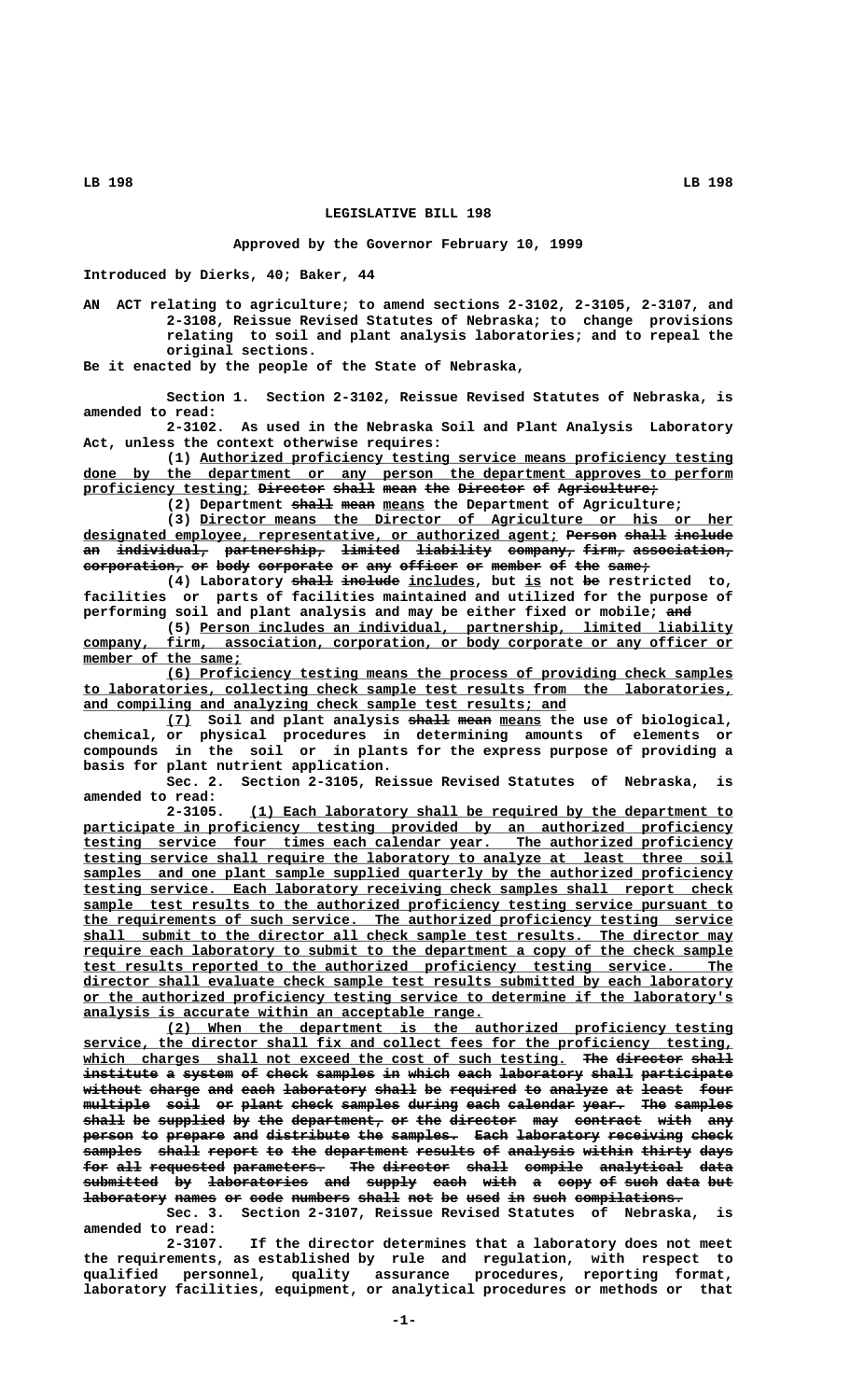**LB 198 LB 198**

## **LEGISLATIVE BILL 198**

## **Approved by the Governor February 10, 1999**

**Introduced by Dierks, 40; Baker, 44**

**AN ACT relating to agriculture; to amend sections 2-3102, 2-3105, 2-3107, and 2-3108, Reissue Revised Statutes of Nebraska; to change provisions relating to soil and plant analysis laboratories; and to repeal the original sections.**

**Be it enacted by the people of the State of Nebraska,**

**Section 1. Section 2-3102, Reissue Revised Statutes of Nebraska, is amended to read:**

**2-3102. As used in the Nebraska Soil and Plant Analysis Laboratory Act, unless the context otherwise requires:**

 **\_\_\_\_\_\_\_\_\_\_\_\_\_\_\_\_\_\_\_\_\_\_\_\_\_\_\_\_\_\_\_\_\_\_\_\_\_\_\_\_\_\_\_\_\_\_\_\_\_\_\_\_\_\_\_\_\_\_\_\_\_\_\_\_ (1) Authorized proficiency testing service means proficiency testing** done by the department or any person the department approves to perform **proficiency testing; Director shall mean the Director of Agriculture; \_\_\_\_\_\_\_\_\_\_\_\_\_\_\_\_\_\_\_\_ ———————— ————— ———— ——— ———————— —— ————————————**

(2) Department shall mean means the Department of Agriculture;

 **\_\_\_\_\_\_\_\_\_\_\_\_\_\_\_\_\_\_\_\_\_\_\_\_\_\_\_\_\_\_\_\_\_\_\_\_\_\_\_\_\_\_\_\_\_\_\_\_\_\_\_\_\_\_\_\_\_\_\_\_\_\_\_\_ (3) Director means the Director of Agriculture or his or her designated employee, representative, or authorized agent; Person shall include \_\_\_\_\_\_\_\_\_\_\_\_\_\_\_\_\_\_\_\_\_\_\_\_\_\_\_\_\_\_\_\_\_\_\_\_\_\_\_\_\_\_\_\_\_\_\_\_\_\_\_\_\_\_\_\_\_ —————— ————— —————— an individual, partnership, limited liability company, firm, association, —— ——————————— ———————————— ——————— ————————— ———————— ————— ——————————— corporation, or body corporate or any officer or member of the same; ———————————— —— ———— ————————— —— ——— ——————— —— —————— —— ——— —————**

(4) Laboratory shall include includes, but is not be restricted to, **facilities or parts of facilities maintained and utilized for the purpose of** performing soil and plant analysis and may be either fixed or mobile; and

 **\_\_\_\_\_\_\_\_\_\_\_\_\_\_\_\_\_\_\_\_\_\_\_\_\_\_\_\_\_\_\_\_\_\_\_\_\_\_\_\_\_\_\_\_\_\_\_\_\_\_\_\_\_\_\_\_\_\_\_\_\_\_\_\_ (5) Person includes an individual, partnership, limited liability \_\_\_\_\_\_\_\_\_\_\_\_\_\_\_\_\_\_\_\_\_\_\_\_\_\_\_\_\_\_\_\_\_\_\_\_\_\_\_\_\_\_\_\_\_\_\_\_\_\_\_\_\_\_\_\_\_\_\_\_\_\_\_\_\_\_\_\_\_\_\_\_\_\_\_\_\_\_ company, firm, association, corporation, or body corporate or any officer or**  $\overline{\text{member of the same}}$ ;

 **\_\_\_\_\_\_\_\_\_\_\_\_\_\_\_\_\_\_\_\_\_\_\_\_\_\_\_\_\_\_\_\_\_\_\_\_\_\_\_\_\_\_\_\_\_\_\_\_\_\_\_\_\_\_\_\_\_\_\_\_\_\_\_\_\_\_\_\_ (6) Proficiency testing means the process of providing check samples \_\_\_\_\_\_\_\_\_\_\_\_\_\_\_\_\_\_\_\_\_\_\_\_\_\_\_\_\_\_\_\_\_\_\_\_\_\_\_\_\_\_\_\_\_\_\_\_\_\_\_\_\_\_\_\_\_\_\_\_\_\_\_\_\_\_\_\_\_\_\_\_\_\_\_\_\_\_ to laboratories, collecting check sample test results from the laboratories,** and compiling and analyzing check sample test results; and

**(7) Soil and plant analysis shall mean means the use of biological, \_\_\_ ————— ———— \_\_\_\_\_ chemical, or physical procedures in determining amounts of elements or compounds in the soil or in plants for the express purpose of providing a basis for plant nutrient application.**

**Sec. 2. Section 2-3105, Reissue Revised Statutes of Nebraska, is amended to read:**

 **\_\_\_\_\_\_\_\_\_\_\_\_\_\_\_\_\_\_\_\_\_\_\_\_\_\_\_\_\_\_\_\_\_\_\_\_\_\_\_\_\_\_\_\_\_\_\_\_\_\_\_\_\_\_\_\_\_\_ 2-3105. (1) Each laboratory shall be required by the department to** participate in proficiency testing provided by an authorized proficiency  **\_\_\_\_\_\_\_\_\_\_\_\_\_\_\_\_\_\_\_\_\_\_\_\_\_\_\_\_\_\_\_\_\_\_\_\_\_\_\_\_\_\_\_\_\_\_\_\_\_\_\_\_\_\_\_\_\_\_\_\_\_\_\_\_\_\_\_\_\_\_\_\_\_\_\_\_\_\_ testing service four times each calendar year. The authorized proficiency \_\_\_\_\_\_\_\_\_\_\_\_\_\_\_\_\_\_\_\_\_\_\_\_\_\_\_\_\_\_\_\_\_\_\_\_\_\_\_\_\_\_\_\_\_\_\_\_\_\_\_\_\_\_\_\_\_\_\_\_\_\_\_\_\_\_\_\_\_\_\_\_\_\_\_\_\_\_ testing service shall require the laboratory to analyze at least three soil** samples and one plant sample supplied quarterly by the authorized proficiency  **\_\_\_\_\_\_\_\_\_\_\_\_\_\_\_\_\_\_\_\_\_\_\_\_\_\_\_\_\_\_\_\_\_\_\_\_\_\_\_\_\_\_\_\_\_\_\_\_\_\_\_\_\_\_\_\_\_\_\_\_\_\_\_\_\_\_\_\_\_\_\_\_\_\_\_\_\_\_ testing service. Each laboratory receiving check samples shall report check \_\_\_\_\_\_\_\_\_\_\_\_\_\_\_\_\_\_\_\_\_\_\_\_\_\_\_\_\_\_\_\_\_\_\_\_\_\_\_\_\_\_\_\_\_\_\_\_\_\_\_\_\_\_\_\_\_\_\_\_\_\_\_\_\_\_\_\_\_\_\_\_\_\_\_\_\_\_ sample test results to the authorized proficiency testing service pursuant to \_\_\_\_\_\_\_\_\_\_\_\_\_\_\_\_\_\_\_\_\_\_\_\_\_\_\_\_\_\_\_\_\_\_\_\_\_\_\_\_\_\_\_\_\_\_\_\_\_\_\_\_\_\_\_\_\_\_\_\_\_\_\_\_\_\_\_\_\_\_\_\_\_\_\_\_\_\_ the requirements of such service. The authorized proficiency testing service \_\_\_\_\_\_\_\_\_\_\_\_\_\_\_\_\_\_\_\_\_\_\_\_\_\_\_\_\_\_\_\_\_\_\_\_\_\_\_\_\_\_\_\_\_\_\_\_\_\_\_\_\_\_\_\_\_\_\_\_\_\_\_\_\_\_\_\_\_\_\_\_\_\_\_\_\_\_ shall submit to the director all check sample test results. The director may** require each laboratory to submit to the department a copy of the check sample  **\_\_\_\_\_\_\_\_\_\_\_\_\_\_\_\_\_\_\_\_\_\_\_\_\_\_\_\_\_\_\_\_\_\_\_\_\_\_\_\_\_\_\_\_\_\_\_\_\_\_\_\_\_\_\_\_\_\_\_\_\_\_\_\_\_\_\_\_\_\_\_\_\_\_\_\_\_\_ test results reported to the authorized proficiency testing service. The \_\_\_\_\_\_\_\_\_\_\_\_\_\_\_\_\_\_\_\_\_\_\_\_\_\_\_\_\_\_\_\_\_\_\_\_\_\_\_\_\_\_\_\_\_\_\_\_\_\_\_\_\_\_\_\_\_\_\_\_\_\_\_\_\_\_\_\_\_\_\_\_\_\_\_\_\_\_ director shall evaluate check sample test results submitted by each laboratory \_\_\_\_\_\_\_\_\_\_\_\_\_\_\_\_\_\_\_\_\_\_\_\_\_\_\_\_\_\_\_\_\_\_\_\_\_\_\_\_\_\_\_\_\_\_\_\_\_\_\_\_\_\_\_\_\_\_\_\_\_\_\_\_\_\_\_\_\_\_\_\_\_\_\_\_\_\_ or the authorized proficiency testing service to determine if the laboratory's \_\_\_\_\_\_\_\_\_\_\_\_\_\_\_\_\_\_\_\_\_\_\_\_\_\_\_\_\_\_\_\_\_\_\_\_\_\_\_\_\_\_\_\_\_\_\_\_ analysis is accurate within an acceptable range.**

 **\_\_\_\_\_\_\_\_\_\_\_\_\_\_\_\_\_\_\_\_\_\_\_\_\_\_\_\_\_\_\_\_\_\_\_\_\_\_\_\_\_\_\_\_\_\_\_\_\_\_\_\_\_\_\_\_\_\_\_\_\_\_\_\_\_\_\_\_ (2) When the department is the authorized proficiency testing \_\_\_\_\_\_\_\_\_\_\_\_\_\_\_\_\_\_\_\_\_\_\_\_\_\_\_\_\_\_\_\_\_\_\_\_\_\_\_\_\_\_\_\_\_\_\_\_\_\_\_\_\_\_\_\_\_\_\_\_\_\_\_\_\_\_\_\_\_\_\_\_\_\_\_\_\_\_ service, the director shall fix and collect fees for the proficiency testing,** which charges shall not exceed the cost of such testing. The director shall institute a system of check samples in which each laboratory shall participate without charge and each laboratory shall be required to analyze at least four  $multiplace$  soil or plant check samples during each calendar year. The samples shall be supplied by the department, or the director may contract with any person to prepare and distribute the samples. Each laboratory receiving check  $\texttt{samples} \quad \texttt{ehall} \texttt{report} \texttt{to} \texttt{the department} \texttt{results} \texttt{of} \texttt{analys} \texttt{with} \texttt{thirty} \texttt{days}$ **for all requested parameters. The director shall compile analytical data ——— ——— ————————— ——————————— ——— ———————— ————— ——————— —————————— ——— submitted by laboratories and supply each with a copy of such data but ————————— —— ———————————— ——— —————— ———— ———— — ———— —— ———— ———— ——**  $laboratory$  names or code numbers shall not be used in such compilations.

**Sec. 3. Section 2-3107, Reissue Revised Statutes of Nebraska, is amended to read:**

**2-3107. If the director determines that a laboratory does not meet the requirements, as established by rule and regulation, with respect to qualified personnel, quality assurance procedures, reporting format, laboratory facilities, equipment, or analytical procedures or methods or that**